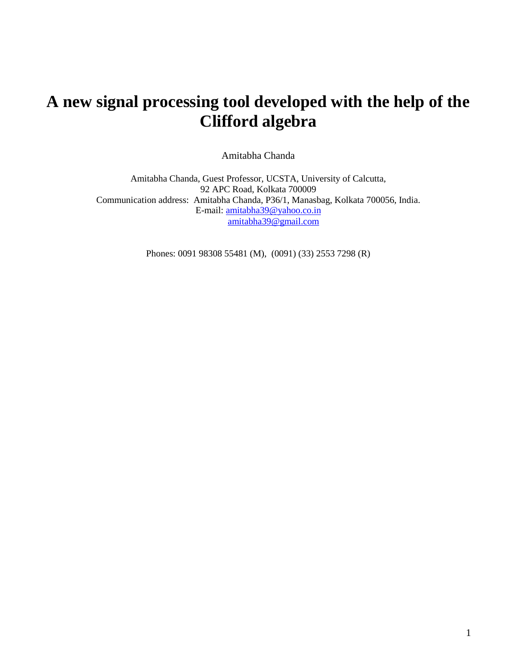# **A new signal processing tool developed with the help of the Clifford algebra**

Amitabha Chanda

Amitabha Chanda, Guest Professor, UCSTA, University of Calcutta, 92 APC Road, Kolkata 700009 Communication address: Amitabha Chanda, P36/1, Manasbag, Kolkata 700056, India. E-mail: [amitabha39@yahoo.co.in](mailto:amitabha39@yahoo.co.in) [amitabha39@gmail.com](mailto:amitabha39@gmail.com)

Phones: 0091 98308 55481 (M), (0091) (33) 2553 7298 (R)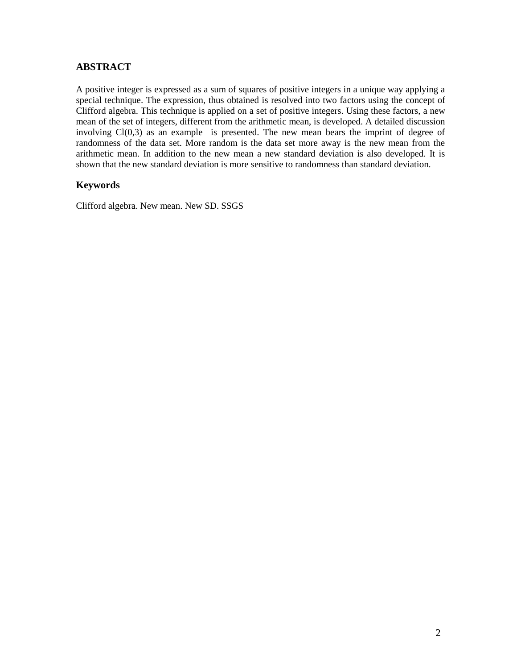## **ABSTRACT**

A positive integer is expressed as a sum of squares of positive integers in a unique way applying a special technique. The expression, thus obtained is resolved into two factors using the concept of Clifford algebra. This technique is applied on a set of positive integers. Using these factors, a new mean of the set of integers, different from the arithmetic mean, is developed. A detailed discussion involving Cl(0,3) as an example is presented. The new mean bears the imprint of degree of randomness of the data set. More random is the data set more away is the new mean from the arithmetic mean. In addition to the new mean a new standard deviation is also developed. It is shown that the new standard deviation is more sensitive to randomness than standard deviation.

## **Keywords**

Clifford algebra. New mean. New SD. SSGS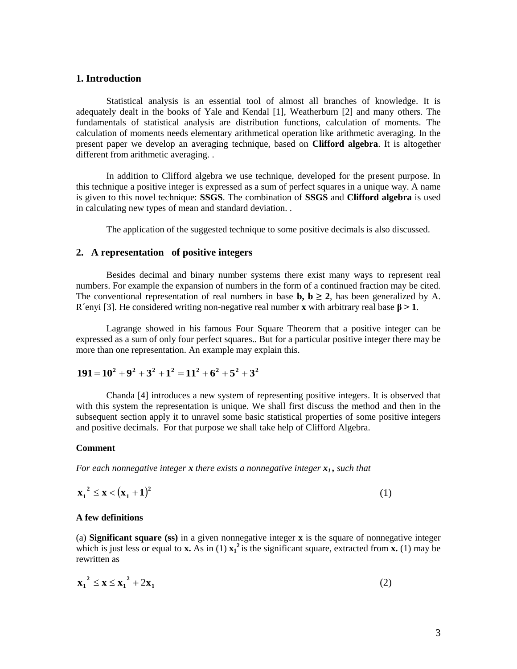#### **1. Introduction**

Statistical analysis is an essential tool of almost all branches of knowledge. It is adequately dealt in the books of Yale and Kendal [1], Weatherburn [2] and many others. The fundamentals of statistical analysis are distribution functions, calculation of moments. The calculation of moments needs elementary arithmetical operation like arithmetic averaging. In the present paper we develop an averaging technique, based on **Clifford algebra**. It is altogether different from arithmetic averaging. .

In addition to Clifford algebra we use technique, developed for the present purpose. In this technique a positive integer is expressed as a sum of perfect squares in a unique way. A name is given to this novel technique: **SSGS**. The combination of **SSGS** and **Clifford algebra** is used in calculating new types of mean and standard deviation. .

The application of the suggested technique to some positive decimals is also discussed.

#### **2. A representation of positive integers**

Besides decimal and binary number systems there exist many ways to represent real numbers. For example the expansion of numbers in the form of a continued fraction may be cited. The conventional representation of real numbers in base **b**,  $\mathbf{b} \geq 2$ , has been generalized by A. R´enyi [3]. He considered writing non-negative real number **x** with arbitrary real base  $\beta$  > 1.

Lagrange showed in his famous Four Square Theorem that a positive integer can be expressed as a sum of only four perfect squares.. But for a particular positive integer there may be more than one representation. An example may explain this.

## $191 = 10^2 + 9^2 + 3^2 + 1^2 = 11^2 + 6^2 + 5^2 + 3^2$

Chanda [4] introduces a new system of representing positive integers. It is observed that with this system the representation is unique. We shall first discuss the method and then in the subsequent section apply it to unravel some basic statistical properties of some positive integers and positive decimals. For that purpose we shall take help of Clifford Algebra.

#### **Comment**

*For each nonnegative integer <i>x* there exists a nonnegative integer  $x_1$ , such that

$$
x_1^2 \le x < (x_1 + 1)^2 \tag{1}
$$

#### **A few definitions**

(a) **Significant square (ss)** in a given nonnegative integer **x** is the square of nonnegative integer which is just less or equal to **x.** As in (1)  $x_1^2$  is the significant square, extracted from **x.** (1) may be rewritten as

$$
\mathbf{x_1}^2 \le \mathbf{x} \le \mathbf{x_1}^2 + 2\mathbf{x_1} \tag{2}
$$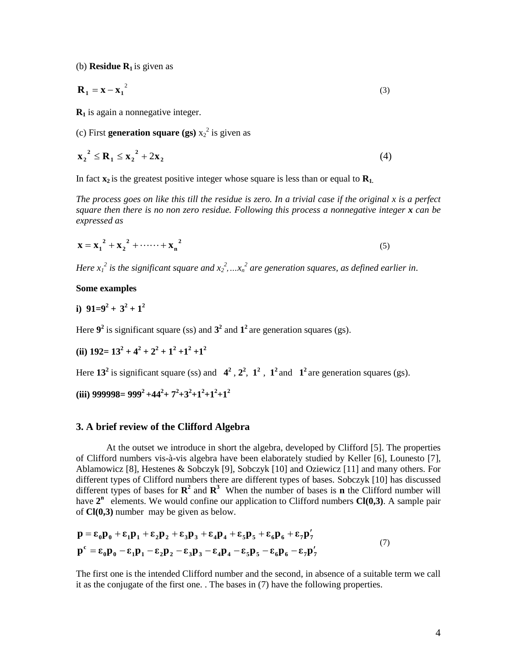(b) **Residue R1** is given as

$$
\mathbf{R}_1 = \mathbf{x} - \mathbf{x}_1^2 \tag{3}
$$

**R<sup>1</sup>** is again a nonnegative integer.

(c) First **generation square** (gs)  $x_2^2$  is given as

$$
\mathbf{x_2}^2 \le \mathbf{R_1} \le \mathbf{x_2}^2 + 2\mathbf{x_2} \tag{4}
$$

In fact  $\mathbf{x}_2$  is the greatest positive integer whose square is less than or equal to  $\mathbf{R}_1$ .

*The process goes on like this till the residue is zero. In a trivial case if the original x is a perfect square then there is no non zero residue. Following this process a nonnegative integer x can be expressed as* 

$$
x = x_1^2 + x_2^2 + \dots + x_n^2
$$
 (5)

*Here*  $x_1^2$  is the significant square and  $x_2^2$ , ... $x_n^2$  are generation squares, as defined earlier in.

#### **Some examples**

**i**)  $91=9^2+3^2+1^2$ 

Here  $9^2$  is significant square (ss) and  $3^2$  and  $1^2$  are generation squares (gs).

(ii) 
$$
192 = 13^2 + 4^2 + 2^2 + 1^2 + 1^2 + 1^2
$$

Here  $13^2$  is significant square (ss) and  $4^2$ ,  $2^2$ ,  $1^2$ ,  $1^2$  and  $1^2$  are generation squares (gs).

 $(iii)$  999998= 999<sup>2</sup> +44<sup>2</sup>+ 7<sup>2</sup>+3<sup>2</sup>+1<sup>2</sup>+1<sup>2</sup>+1<sup>2</sup>

#### **3. A brief review of the Clifford Algebra**

At the outset we introduce in short the algebra, developed by Clifford [5]. The properties of Clifford numbers vis-à-vis algebra have been elaborately studied by Keller [6], Lounesto [7], Ablamowicz [8], Hestenes & Sobczyk [9], Sobczyk [10] and Oziewicz [11] and many others. For different types of Clifford numbers there are different types of bases. Sobczyk [10] has discussed different types of bases for  $\mathbb{R}^2$  and  $\mathbb{R}^3$  When the number of bases is **n** the Clifford number will have  $2<sup>n</sup>$  elements. We would confine our application to Clifford numbers  $Cl(0,3)$ . A sample pair of **Cl(0,3)** number may be given as below.

$$
p = \varepsilon_0 p_0 + \varepsilon_1 p_1 + \varepsilon_2 p_2 + \varepsilon_3 p_3 + \varepsilon_4 p_4 + \varepsilon_5 p_5 + \varepsilon_6 p_6 + \varepsilon_7 p_7'
$$
  
\n
$$
p^c = \varepsilon_0 p_0 - \varepsilon_1 p_1 - \varepsilon_2 p_2 - \varepsilon_3 p_3 - \varepsilon_4 p_4 - \varepsilon_5 p_5 - \varepsilon_6 p_6 - \varepsilon_7 p_7'
$$
\n(7)

The first one is the intended Clifford number and the second, in absence of a suitable term we call it as the conjugate of the first one. . The bases in (7) have the following properties.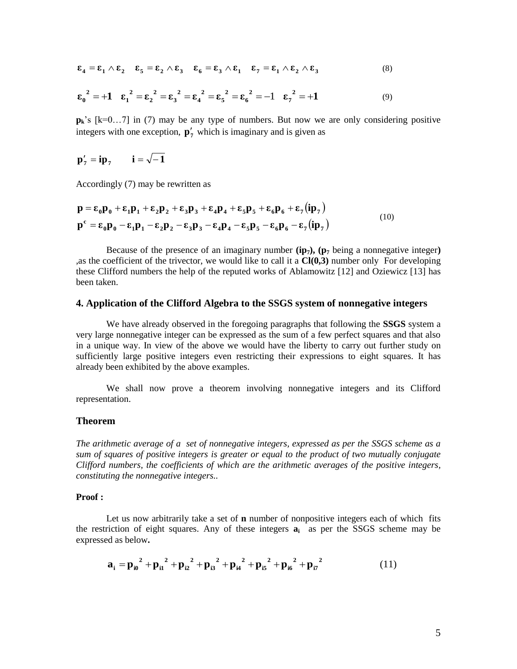$$
\varepsilon_4 = \varepsilon_1 \wedge \varepsilon_2 \quad \varepsilon_5 = \varepsilon_2 \wedge \varepsilon_3 \quad \varepsilon_6 = \varepsilon_3 \wedge \varepsilon_1 \quad \varepsilon_7 = \varepsilon_1 \wedge \varepsilon_2 \wedge \varepsilon_3 \tag{8}
$$

$$
\epsilon_0^2 = +1
$$
  $\epsilon_1^2 = \epsilon_2^2 = \epsilon_3^2 = \epsilon_4^2 = \epsilon_5^2 = \epsilon_6^2 = -1$   $\epsilon_7^2 = +1$  (9)

**pk**'s [k=0…7] in (7) may be any type of numbers. But now we are only considering positive integers with one exception,  $\mathbf{p}'_7$  which is imaginary and is given as

$$
\mathbf{p}'_7 = i\mathbf{p}_7 \qquad i = \sqrt{-1}
$$

Accordingly (7) may be rewritten as

$$
\mathbf{p} = \varepsilon_0 \mathbf{p}_0 + \varepsilon_1 \mathbf{p}_1 + \varepsilon_2 \mathbf{p}_2 + \varepsilon_3 \mathbf{p}_3 + \varepsilon_4 \mathbf{p}_4 + \varepsilon_5 \mathbf{p}_5 + \varepsilon_6 \mathbf{p}_6 + \varepsilon_7 (\mathbf{ip}_7)
$$
  
\n
$$
\mathbf{p}^{\mathbf{c}} = \varepsilon_0 \mathbf{p}_0 - \varepsilon_1 \mathbf{p}_1 - \varepsilon_2 \mathbf{p}_2 - \varepsilon_3 \mathbf{p}_3 - \varepsilon_4 \mathbf{p}_4 - \varepsilon_5 \mathbf{p}_5 - \varepsilon_6 \mathbf{p}_6 - \varepsilon_7 (\mathbf{ip}_7)
$$
\n(10)

Because of the presence of an imaginary number  $(ip_7)$ ,  $(p_7$  being a nonnegative integer) ,as the coefficient of the trivector, we would like to call it a **Cl(0,3)** number only For developing these Clifford numbers the help of the reputed works of Ablamowitz [12] and Oziewicz [13] has been taken.

#### **4. Application of the Clifford Algebra to the SSGS system of nonnegative integers**

We have already observed in the foregoing paragraphs that following the **SSGS** system a very large nonnegative integer can be expressed as the sum of a few perfect squares and that also in a unique way. In view of the above we would have the liberty to carry out further study on sufficiently large positive integers even restricting their expressions to eight squares. It has already been exhibited by the above examples.

We shall now prove a theorem involving nonnegative integers and its Clifford representation.

#### **Theorem**

*The arithmetic average of a set of nonnegative integers, expressed as per the SSGS scheme as a sum of squares of positive integers is greater or equal to the product of two mutually conjugate Clifford numbers, the coefficients of which are the arithmetic averages of the positive integers, constituting the nonnegative integers..*

#### **Proof :**

Let us now arbitrarily take a set of **n** number of nonpositive integers each of which fits the restriction of eight squares. Any of these integers **a<sup>i</sup>** as per the SSGS scheme may be expressed as below**.** 

$$
a_{i} = p_{i0}^{2} + p_{i1}^{2} + p_{i2}^{2} + p_{i3}^{2} + p_{i4}^{2} + p_{i5}^{2} + p_{i6}^{2} + p_{i7}^{2}
$$
 (11)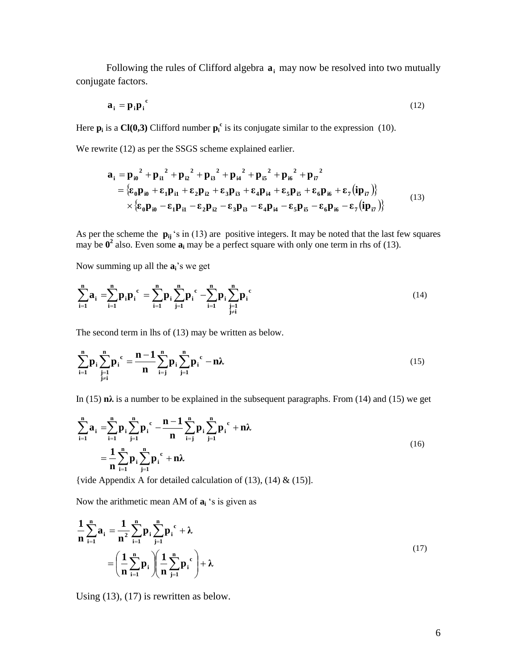Following the rules of Clifford algebra  $a_i$  may now be resolved into two mutually conjugate factors.

$$
\mathbf{a}_i = \mathbf{p}_i \mathbf{p}_i^c \tag{12}
$$

Here  $p_i$  is a Cl(0,3) Clifford number  $p_i^c$  is its conjugate similar to the expression (10).

We rewrite (12) as per the SSGS scheme explained earlier.

$$
a_{i} = p_{i0}^{2} + p_{i1}^{2} + p_{i2}^{2} + p_{i3}^{2} + p_{i4}^{2} + p_{i5}^{2} + p_{i6}^{2} + p_{i7}^{2}
$$
  
= { $\varepsilon_{0}p_{i0} + \varepsilon_{1}p_{i1} + \varepsilon_{2}p_{i2} + \varepsilon_{3}p_{i3} + \varepsilon_{4}p_{i4} + \varepsilon_{5}p_{i5} + \varepsilon_{6}p_{i6} + \varepsilon_{7} (ip_{i7})$ }  
 $\times {\varepsilon_{0}p_{i0} - \varepsilon_{1}p_{i1} - \varepsilon_{2}p_{i2} - \varepsilon_{3}p_{i3} - \varepsilon_{4}p_{i4} - \varepsilon_{5}p_{i5} - \varepsilon_{6}p_{i6} - \varepsilon_{7} (ip_{i7})$ } (13)

As per the scheme the **pij** 's in (13) are positive integers. It may be noted that the last few squares may be  $0^2$  also. Even some  $a_i$  may be a perfect square with only one term in rhs of (13).

Now summing up all the **ai**'s we get

$$
\sum_{i=1}^{n} a_i = \sum_{i=1}^{n} p_i p_i^c = \sum_{i=1}^{n} p_i \sum_{j=1}^{n} p_i^c - \sum_{i=1}^{n} p_i \sum_{\substack{j=1 \ j \neq i}}^{n} p_i^c
$$
\n(14)

The second term in lhs of (13) may be written as below.

$$
\sum_{i=1}^{n} \mathbf{p}_i \sum_{\substack{j=1 \ j \neq i}}^{n} \mathbf{p}_i^c = \frac{\mathbf{n-1}}{\mathbf{n}} \sum_{i=j}^{n} \mathbf{p}_i \sum_{j=1}^{n} \mathbf{p}_i^c - \mathbf{n} \lambda
$$
\n(15)

In (15)  $n\lambda$  is a number to be explained in the subsequent paragraphs. From (14) and (15) we get

$$
\sum_{i=1}^{n} a_i = \sum_{i=1}^{n} p_i \sum_{j=1}^{n} p_i^{c} - \frac{n-1}{n} \sum_{i=j}^{n} p_i \sum_{j=1}^{n} p_i^{c} + n\lambda
$$
\n
$$
= \frac{1}{n} \sum_{i=1}^{n} p_i \sum_{j=1}^{n} p_i^{c} + n\lambda
$$
\n(16)

{vide Appendix A for detailed calculation of  $(13)$ ,  $(14)$  &  $(15)$ ].

Now the arithmetic mean AM of **a<sup>i</sup>** 's is given as

$$
\frac{1}{n}\sum_{i=1}^{n}a_{i} = \frac{1}{n^{2}}\sum_{i=1}^{n}p_{i}\sum_{j=1}^{n}p_{i}^{c} + \lambda
$$
\n
$$
= \left(\frac{1}{n}\sum_{i=1}^{n}p_{i}\right)\left(\frac{1}{n}\sum_{j=1}^{n}p_{i}^{c}\right) + \lambda
$$
\n(17)

Using (13), (17) is rewritten as below.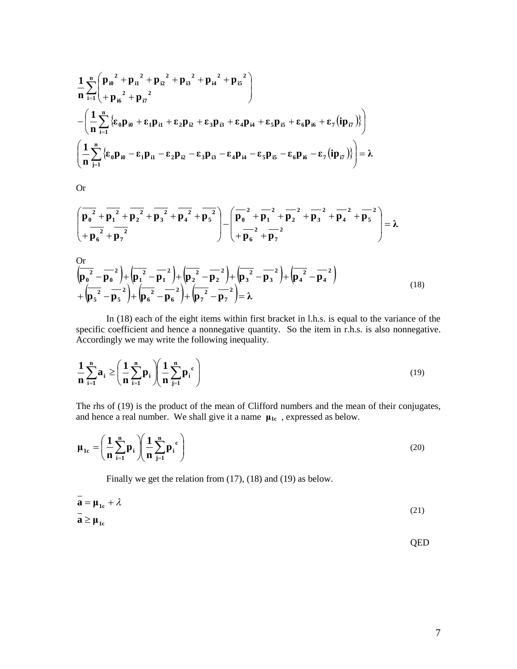$$
\begin{aligned}&\frac{1}{n}\sum_{i=1}^{n}\left(p_{i0}^{2}+p_{i1}^{2}+p_{i2}^{2}+p_{i3}^{2}+p_{i4}^{2}+p_{i5}^{2}\right) \\&-\left(\frac{1}{n}\sum_{i=1}^{n}\left\{\epsilon_{0}p_{i0}+\epsilon_{1}p_{i1}+\epsilon_{2}p_{i2}+\epsilon_{3}p_{i3}+\epsilon_{4}p_{i4}+\epsilon_{5}p_{i5}+\epsilon_{6}p_{i6}+\epsilon_{7}(ip_{i7})\right\}\right) \\&\left(\frac{1}{n}\sum_{j=1}^{n}\left\{\epsilon_{0}p_{i0}-\epsilon_{1}p_{i1}-\epsilon_{2}p_{i2}-\epsilon_{3}p_{i3}-\epsilon_{4}p_{i4}-\epsilon_{5}p_{i5}-\epsilon_{6}p_{i6}-\epsilon_{7}(ip_{i7})\right\}\right)=\lambda\end{aligned}
$$

Or

$$
\left(\overline{p_0^2+\overline{p_1}^2+\overline{p_2}^2}+\overline{p_3}^2+\overline{p_3}^2+\overline{p_4}^2+\overline{p_5}^2\right)-\left(\overline{p_0^2+\overline{p_1}^2+\overline{p_2}^2}+\overline{p_3}^2+\overline{p_4}^2+\overline{p_5}^2\right)=\lambda
$$

$$
\begin{aligned}\n&\frac{\text{Or}}{\left(\mathbf{p}_0^2 - \mathbf{p}_0^2\right)} + \left(\mathbf{p}_1^2 - \mathbf{p}_1^2\right) + \left(\mathbf{p}_2^2 - \mathbf{p}_2^2\right) + \left(\mathbf{p}_3^2 - \mathbf{p}_3^2\right) + \left(\mathbf{p}_4^2 - \mathbf{p}_4^2\right) \\
&+ \left(\mathbf{p}_5^2 - \mathbf{p}_5^2\right) + \left(\mathbf{p}_6^2 - \mathbf{p}_6^2\right) + \left(\mathbf{p}_7^2 - \mathbf{p}_7^2\right) = \lambda\n\end{aligned}
$$
\n(18)

In (18) each of the eight items within first bracket in l.h.s. is equal to the variance of the specific coefficient and hence a nonnegative quantity. So the item in r.h.s. is also nonnegative. Accordingly we may write the following inequality.

$$
\frac{1}{n}\sum_{i=1}^{n}a_i \ge \left(\frac{1}{n}\sum_{i=1}^{n}p_i\right)\left(\frac{1}{n}\sum_{j=1}^{n}p_i^{c}\right)
$$
\n(19)

The rhs of (19) is the product of the mean of Clifford numbers and the mean of their conjugates, and hence a real number. We shall give it a name  $\mu_{1c}$ , expressed as below.

$$
\mu_{1c} = \left(\frac{1}{n}\sum_{i=1}^{n}p_i\right)\left(\frac{1}{n}\sum_{j=1}^{n}p_j^{c}\right)
$$
\n(20)

Finally we get the relation from (17), (18) and (19) as below.

$$
\mathbf{a} = \mathbf{\mu}_{1c} + \lambda \tag{21}
$$
\n
$$
\mathbf{a} \ge \mathbf{\mu}_{1c}
$$

QED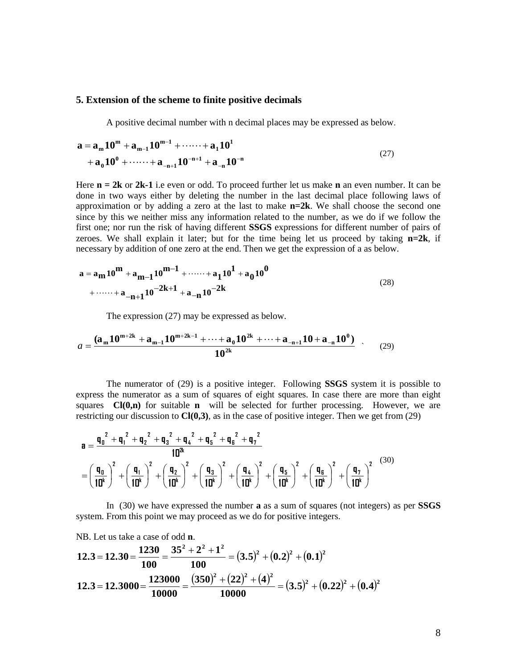#### **5. Extension of the scheme to finite positive decimals**

A positive decimal number with n decimal places may be expressed as below.

$$
a = a_{m} 10^{m} + a_{m-1} 10^{m-1} + \dots + a_{1} 10^{1}
$$
  
+ 
$$
a_{0} 10^{0} + \dots + a_{-n+1} 10^{-n+1} + a_{-n} 10^{-n}
$$
 (27)

Here **n = 2k** or **2k-1** i.e even or odd. To proceed further let us make **n** an even number. It can be done in two ways either by deleting the number in the last decimal place following laws of approximation or by adding a zero at the last to make **n=2k**. We shall choose the second one since by this we neither miss any information related to the number, as we do if we follow the first one; nor run the risk of having different **SSGS** expressions for different number of pairs of zeroes. We shall explain it later; but for the time being let us proceed by taking **n=2k**, if necessary by addition of one zero at the end. Then we get the expression of a as below.

$$
a = a_{m} 10^{m} + a_{m-1} 10^{m-1} + \dots + a_{1} 10^{1} + a_{0} 10^{0}
$$
  
+ 
$$
\dots + a_{-n+1} 10^{-2k+1} + a_{-n} 10^{-2k}
$$
 (28)

The expression (27) may be expressed as below.

$$
a = \frac{(\mathbf{a}_{m}\mathbf{10}^{m+2k} + \mathbf{a}_{m-1}\mathbf{10}^{m+2k-1} + \dots + \mathbf{a}_{0}\mathbf{10}^{2k} + \dots + \mathbf{a}_{-n+1}\mathbf{10} + \mathbf{a}_{-n}\mathbf{10}^{0})}{10^{2k}} \tag{29}
$$

The numerator of (29) is a positive integer. Following **SSGS** system it is possible to express the numerator as a sum of squares of eight squares. In case there are more than eight squares **Cl(0,n)** for suitable **n** will be selected for further processing. However, we are restricting our discussion to **Cl(0,3)**, as in the case of positive integer. Then we get from (29)

$$
\mathbf{a} = \frac{\mathbf{q_0}^2 + \mathbf{q_1}^2 + \mathbf{q_2}^2 + \mathbf{q_3}^2 + \mathbf{q_4}^2 + \mathbf{q_5}^2 + \mathbf{q_6}^2 + \mathbf{q_7}^2}{10^{2k}}
$$
\n
$$
= \left(\frac{\mathbf{q_0}}{10^k}\right)^2 + \left(\frac{\mathbf{q_1}}{10^k}\right)^2 + \left(\frac{\mathbf{q_2}}{10^k}\right)^2 + \left(\frac{\mathbf{q_3}}{10^k}\right)^2 + \left(\frac{\mathbf{q_4}}{10^k}\right)^2 + \left(\frac{\mathbf{q_5}}{10^k}\right)^2 + \left(\frac{\mathbf{q_5}}{10^k}\right)^2 + \left(\frac{\mathbf{q_6}}{10^k}\right)^2 \tag{30}
$$

In (30) we have expressed the number **a** as a sum of squares (not integers) as per **SSGS** system. From this point we may proceed as we do for positive integers.

NB. Let us take a case of odd **n**.  
\n12.3 = 12.30 = 
$$
\frac{1230}{100} = \frac{35^2 + 2^2 + 1^2}{100} = (3.5)^2 + (0.2)^2 + (0.1)^2
$$
\n12.3 = 12.3000 = 
$$
\frac{123000}{10000} = \frac{(350)^2 + (22)^2 + (4)^2}{10000} = (3.5)^2 + (0.22)^2 + (0.4)^2
$$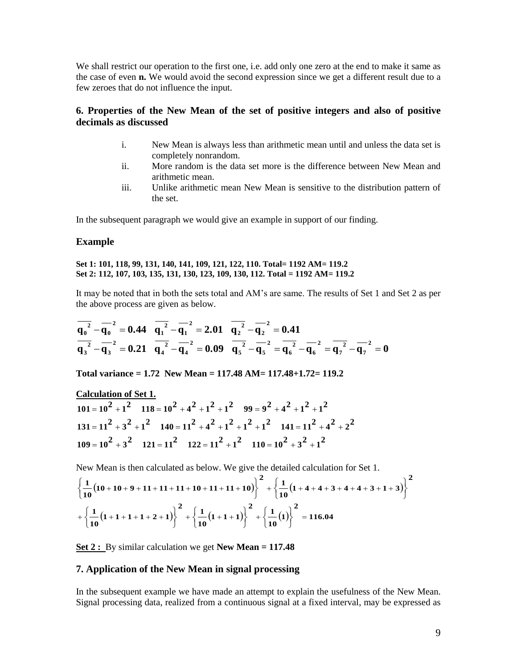We shall restrict our operation to the first one, i.e. add only one zero at the end to make it same as the case of even **n.** We would avoid the second expression since we get a different result due to a few zeroes that do not influence the input.

### **6. Properties of the New Mean of the set of positive integers and also of positive decimals as discussed**

- i. New Mean is always less than arithmetic mean until and unless the data set is completely nonrandom.
- ii. More random is the data set more is the difference between New Mean and arithmetic mean.
- iii. Unlike arithmetic mean New Mean is sensitive to the distribution pattern of the set.

In the subsequent paragraph we would give an example in support of our finding.

#### **Example**

#### **Set 1: 101, 118, 99, 131, 140, 141, 109, 121, 122, 110. Total= 1192 AM= 119.2 Set 2: 112, 107, 103, 135, 131, 130, 123, 109, 130, 112. Total = 1192 AM= 119.2**

It may be noted that in both the sets total and AM's are same. The results of Set 1 and Set 2 as per the above process are given as below.

$$
\overline{q_0^2} - \overline{q_0^2} = 0.44 \quad \overline{q_1^2} - \overline{q_1^2} = 2.01 \quad \overline{q_2^2} - \overline{q_2^2} = 0.41
$$
\n
$$
\overline{q_3^2} - \overline{q_3^2} = 0.21 \quad \overline{q_4^2} - \overline{q_4^2} = 0.09 \quad \overline{q_5^2} - \overline{q_5^2} = \overline{q_6^2} - \overline{q_6^2} = \overline{q_7^2} - \overline{q_7^2} = 0
$$

**Total variance = 1.72 New Mean = 117.48 AM= 117.48+1.72= 119.2**

Calculation of Set 1.

\n
$$
101 = 10^{2} + 1^{2} \quad 118 = 10^{2} + 4^{2} + 1^{2} + 1^{2} \quad 99 = 9^{2} + 4^{2} + 1^{2} + 1^{2}
$$
\n
$$
131 = 11^{2} + 3^{2} + 1^{2} \quad 140 = 11^{2} + 4^{2} + 1^{2} + 1^{2} \quad 141 = 11^{2} + 4^{2} + 2^{2}
$$
\n
$$
109 = 10^{2} + 3^{2} \quad 121 = 11^{2} \quad 122 = 11^{2} + 1^{2} \quad 110 = 10^{2} + 3^{2} + 1^{2}
$$

New Mean is then calculated as below. We give the detailed calculation for Set 1.

New Mean is then calculated as below. We give the detailed calculation for Set 1.  
\n
$$
\left\{\frac{1}{10}(10+10+9+11+11+11+10+11+11+10)\right\}^2 + \left\{\frac{1}{10}(1+4+4+3+4+4+3+1+3)\right\}^2 + \left\{\frac{1}{10}(1+1+1+2+1)\right\}^2 + \left\{\frac{1}{10}(1+1+1)\right\}^2 + \left\{\frac{1}{10}(1)\right\}^2 = 116.04
$$

**Set 2 :** By similar calculation we get **New Mean = 117.48**

#### **7. Application of the New Mean in signal processing**

In the subsequent example we have made an attempt to explain the usefulness of the New Mean. Signal processing data, realized from a continuous signal at a fixed interval, may be expressed as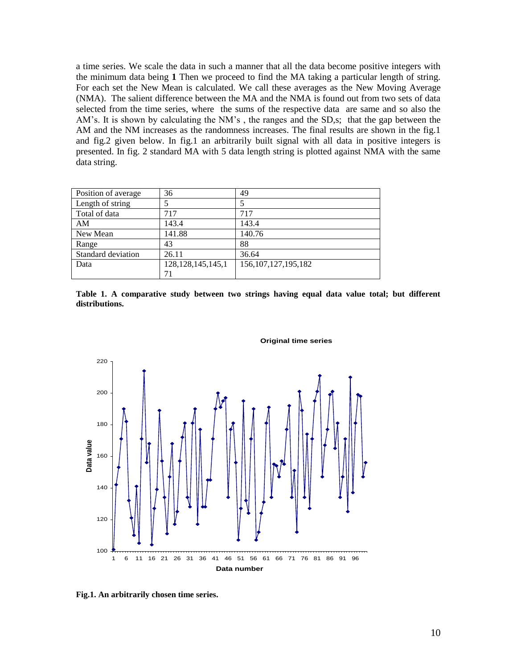a time series. We scale the data in such a manner that all the data become positive integers with the minimum data being **1** Then we proceed to find the MA taking a particular length of string. For each set the New Mean is calculated. We call these averages as the New Moving Average (NMA). The salient difference between the MA and the NMA is found out from two sets of data selected from the time series, where the sums of the respective data are same and so also the AM's. It is shown by calculating the NM's , the ranges and the SD,s; that the gap between the AM and the NM increases as the randomness increases. The final results are shown in the fig.1 and fig.2 given below. In fig.1 an arbitrarily built signal with all data in positive integers is presented. In fig. 2 standard MA with 5 data length string is plotted against NMA with the same data string.

| Position of average | 36                    | 49                      |
|---------------------|-----------------------|-------------------------|
| Length of string    |                       |                         |
| Total of data       | 717                   | 717                     |
| AM                  | 143.4                 | 143.4                   |
| New Mean            | 141.88                | 140.76                  |
| Range               | 43                    | 88                      |
| Standard deviation  | 26.11                 | 36.64                   |
| Data                | 128, 128, 145, 145, 1 | 156, 107, 127, 195, 182 |
|                     |                       |                         |





#### **Original time series**

**Fig.1. An arbitrarily chosen time series.**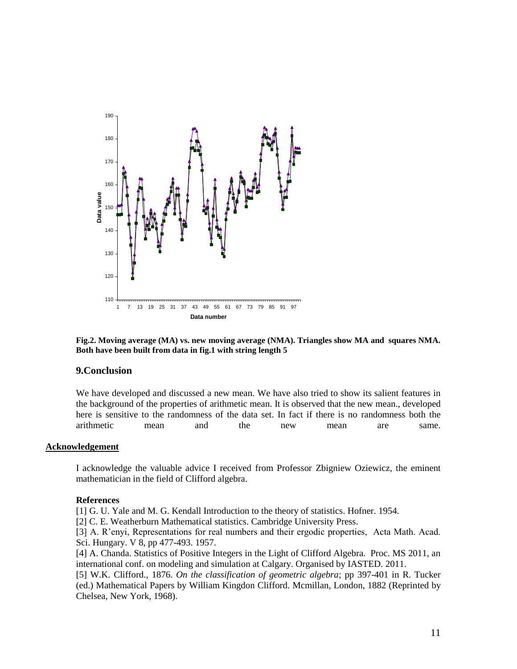

**Fig.2. Moving average (MA) vs. new moving average (NMA). Triangles show MA and squares NMA. Both have been built from data in fig.1 with string length 5**

#### **9.Conclusion**

We have developed and discussed a new mean. We have also tried to show its salient features in the background of the properties of arithmetic mean. It is observed that the new mean., developed here is sensitive to the randomness of the data set. In fact if there is no randomness both the arithmetic mean and the new mean are same.

#### **Acknowledgement**

I acknowledge the valuable advice I received from Professor Zbigniew Oziewicz, the eminent mathematician in the field of Clifford algebra.

#### **References**

[1] G. U. Yale and M. G. Kendall Introduction to the theory of statistics. Hofner. 1954.

[2] C. E. Weatherburn Mathematical statistics. Cambridge University Press.

[3] A. R'enyi, Representations for real numbers and their ergodic properties, Acta Math. Acad. Sci. Hungary. V 8, pp 477-493. 1957.

[4] A. Chanda. Statistics of Positive Integers in the Light of Clifford Algebra. Proc. MS 2011, an international conf. on modeling and simulation at Calgary. Organised by IASTED. 2011.

[5] W.K. Clifford., 1876. *On the classification of geometric algebra*; pp 397-401 in R. Tucker (ed.) Mathematical Papers by William Kingdon Clifford. Mcmillan, London, 1882 (Reprinted by Chelsea, New York, 1968).